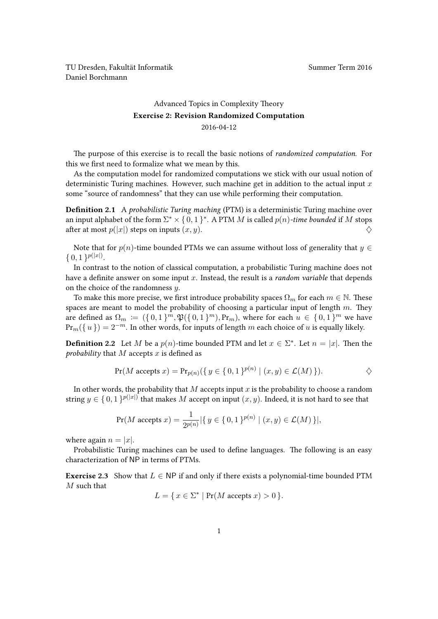TU Dresden, Fakultät Informatik Nummer Term 2016 Daniel Borchmann

## [Advanced Topics in Complexity Theory](https://ddll.inf.tu-dresden.de/web/Advanced_Topics_in_Complexity_Theory_(SS2016)) Exercise 2: Revision Randomized Computation 2016-04-12

The purpose of this exercise is to recall the basic notions of randomized computation. For this we first need to formalize what we mean by this.

As the computation model for randomized computations we stick with our usual notion of deterministic Turing machines. However, such machine get in addition to the actual input  $x$ some "source of randomness" that they can use while performing their computation.

**Definition 2.1** A probabilistic Turing maching (PTM) is a deterministic Turing machine over an input alphabet of the form  $\Sigma^* \times \{0,1\}^*$ . A PTM M is called  $p(n)$ -time bounded if M stops after at most  $p(|x|)$  steps on inputs  $(x, y)$ .

Note that for  $p(n)$ -time bounded PTMs we can assume without loss of generality that  $y \in$  $\{0,1\}^{p(|x|)}.$ 

In contrast to the notion of classical computation, a probabilistic Turing machine does not have a definite answer on some input  $x$ . Instead, the result is a *random variable* that depends on the choice of the randomness  $y$ .

To make this more precise, we first introduce probability spaces  $\Omega_m$  for each  $m \in \mathbb{N}$ . These spaces are meant to model the probability of choosing a particular input of length  $m$ . They are defined as  $\Omega_m \coloneqq (\{0,1\}^m, \mathfrak{P}(\{0,1\}^m), \Pr_m)$ , where for each  $u \in \{0,1\}^m$  we have  $Pr_m({w}) = 2^{-m}$ . In other words, for inputs of length m each choice of u is equally likely.

**Definition 2.2** Let M be a  $p(n)$ -time bounded PTM and let  $x \in \Sigma^*$ . Let  $n = |x|$ . Then the probability that  $M$  accepts  $x$  is defined as

$$
\Pr(M \text{ accepts } x) = \Pr_{p(n)}(\{ y \in \{0, 1\}^{p(n)} \mid (x, y) \in \mathcal{L}(M) \}).
$$

In other words, the probability that  $M$  accepts input  $x$  is the probability to choose a random string  $y \in \{0,1\}^{p(|x|)}$  that makes M accept on input  $(x, y)$ . Indeed, it is not hard to see that

$$
\Pr(M \text{ accepts } x) = \frac{1}{2^{p(n)}} |\{ y \in \{0, 1\}^{p(n)} \mid (x, y) \in \mathcal{L}(M) \}|,
$$

where again  $n = |x|$ .

Probabilistic Turing machines can be used to define languages. The following is an easy characterization of NP in terms of PTMs.

<span id="page-0-0"></span>**Exercise 2.3** Show that  $L \in NP$  if and only if there exists a polynomial-time bounded PTM  $M$  such that

$$
L = \{ x \in \Sigma^* \mid \Pr(M \text{ accepts } x) > 0 \}.
$$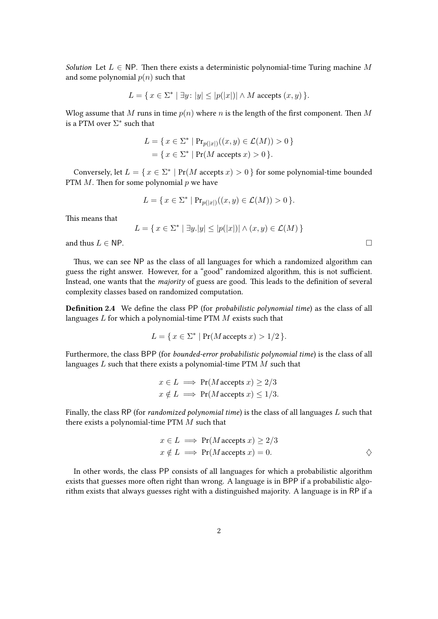Solution Let  $L \in \text{NP}$ . Then there exists a deterministic polynomial-time Turing machine M and some polynomial  $p(n)$  such that

$$
L = \{ x \in \Sigma^* \mid \exists y \colon |y| \le |p(|x|)| \land M \text{ accepts } (x, y) \}.
$$

Wlog assume that M runs in time  $p(n)$  where n is the length of the first component. Then M is a PTM over  $\Sigma^*$  such that

$$
L = \{ x \in \Sigma^* \mid Pr_{p(|x|)}((x, y) \in \mathcal{L}(M)) > 0 \}
$$
  
=  $\{ x \in \Sigma^* \mid Pr(M \text{ accepts } x) > 0 \}.$ 

Conversely, let  $L = \{x \in \Sigma^* \mid Pr(M \text{ accepts } x) > 0\}$  for some polynomial-time bounded PTM  $M$ . Then for some polynomial  $p$  we have

$$
L = \{ x \in \Sigma^* \mid Pr_{p(|x|)}((x, y) \in \mathcal{L}(M)) > 0 \}.
$$

This means that

$$
L = \{ x \in \Sigma^* \mid \exists y. |y| \le |p(|x|)| \land (x, y) \in \mathcal{L}(M) \}
$$

and thus  $L \in \mathsf{NP}$ .

Thus, we can see NP as the class of all languages for which a randomized algorithm can guess the right answer. However, for a "good" randomized algorithm, this is not sufficient. Instead, one wants that the majority of guess are good. This leads to the definition of several complexity classes based on randomized computation.

Definition 2.4 We define the class PP (for probabilistic polynomial time) as the class of all languages  $L$  for which a polynomial-time PTM  $M$  exists such that

$$
L = \{ x \in \Sigma^* \mid \Pr(M \text{ accepts } x) > 1/2 \}.
$$

Furthermore, the class BPP (for bounded-error probabilistic polynomial time) is the class of all languages  $L$  such that there exists a polynomial-time PTM  $M$  such that

$$
x \in L \implies \Pr(M \text{ accepts } x) \ge 2/3
$$
  

$$
x \notin L \implies \Pr(M \text{ accepts } x) \le 1/3.
$$

Finally, the class RP (for randomized polynomial time) is the class of all languages L such that there exists a polynomial-time PTM M such that

$$
x \in L \implies \Pr(M \text{ accepts } x) \ge 2/3
$$
  

$$
x \notin L \implies \Pr(M \text{ accepts } x) = 0.
$$

In other words, the class PP consists of all languages for which a probabilistic algorithm exists that guesses more often right than wrong. A language is in BPP if a probabilistic algorithm exists that always guesses right with a distinguished majority. A language is in RP if a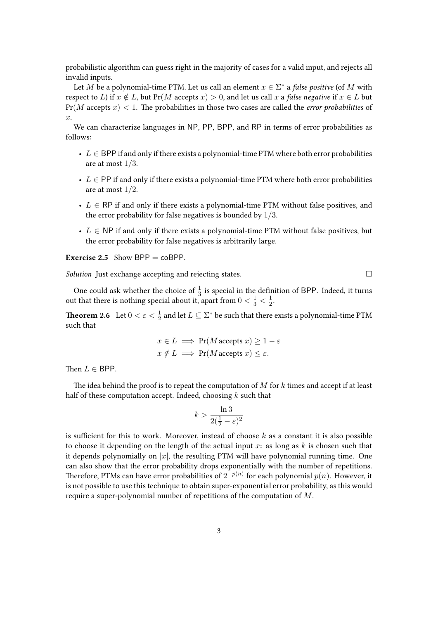probabilistic algorithm can guess right in the majority of cases for a valid input, and rejects all invalid inputs.

Let M be a polynomial-time PTM. Let us call an element  $x \in \Sigma^*$  a *false positive* (of M with respect to L) if  $x \notin L$ , but Pr(M accepts  $x$ ) > 0, and let us call x a false negative if  $x \in L$  but  $Pr(M \text{ accepts } x) < 1$ . The probabilities in those two cases are called the *error probabilities* of  $\hat{x}$ .

We can characterize languages in NP, PP, BPP, and RP in terms of error probabilities as follows:

- $L \in BPP$  if and only if there exists a polynomial-time PTM where both error probabilities are at most  $1/3$ .
- $L \in \text{PP}$  if and only if there exists a polynomial-time PTM where both error probabilities are at most  $1/2$ .
- $L \in \mathsf{RP}$  if and only if there exists a polynomial-time PTM without false positives, and the error probability for false negatives is bounded by 1/3.
- $L \in \text{NP}$  if and only if there exists a polynomial-time PTM without false positives, but the error probability for false negatives is arbitrarily large.

**Exercise 2.5** Show BPP =  $coBPP$ .

Solution Just exchange accepting and rejecting states.

One could ask whether the choice of  $\frac{1}{3}$  is special in the definition of BPP. Indeed, it turns out that there is nothing special about it, apart from  $0 < \frac{1}{3} < \frac{1}{2}$  $rac{1}{2}$ .

**Theorem 2.6** Let  $0 < \varepsilon < \frac{1}{2}$  and let  $L \subseteq \Sigma^*$  be such that there exists a polynomial-time PTM such that

$$
x \in L \implies \Pr(M \text{ accepts } x) \ge 1 - \varepsilon
$$
  

$$
x \notin L \implies \Pr(M \text{ accepts } x) \le \varepsilon.
$$

Then  $L \in$  BPP.

The idea behind the proof is to repeat the computation of  $M$  for  $k$  times and accept if at least half of these computation accept. Indeed, choosing  $k$  such that

$$
k > \frac{\ln 3}{2(\frac{1}{2} - \varepsilon)^2}
$$

is sufficient for this to work. Moreover, instead of choose  $k$  as a constant it is also possible to choose it depending on the length of the actual input  $x$ : as long as  $k$  is chosen such that it depends polynomially on  $|x|$ , the resulting PTM will have polynomial running time. One can also show that the error probability drops exponentially with the number of repetitions. Therefore, PTMs can have error probabilities of  $2^{-p(n)}$  for each polynomial  $p(n)$ . However, it is not possible to use this technique to obtain super-exponential error probability, as this would require a super-polynomial number of repetitions of the computation of M.